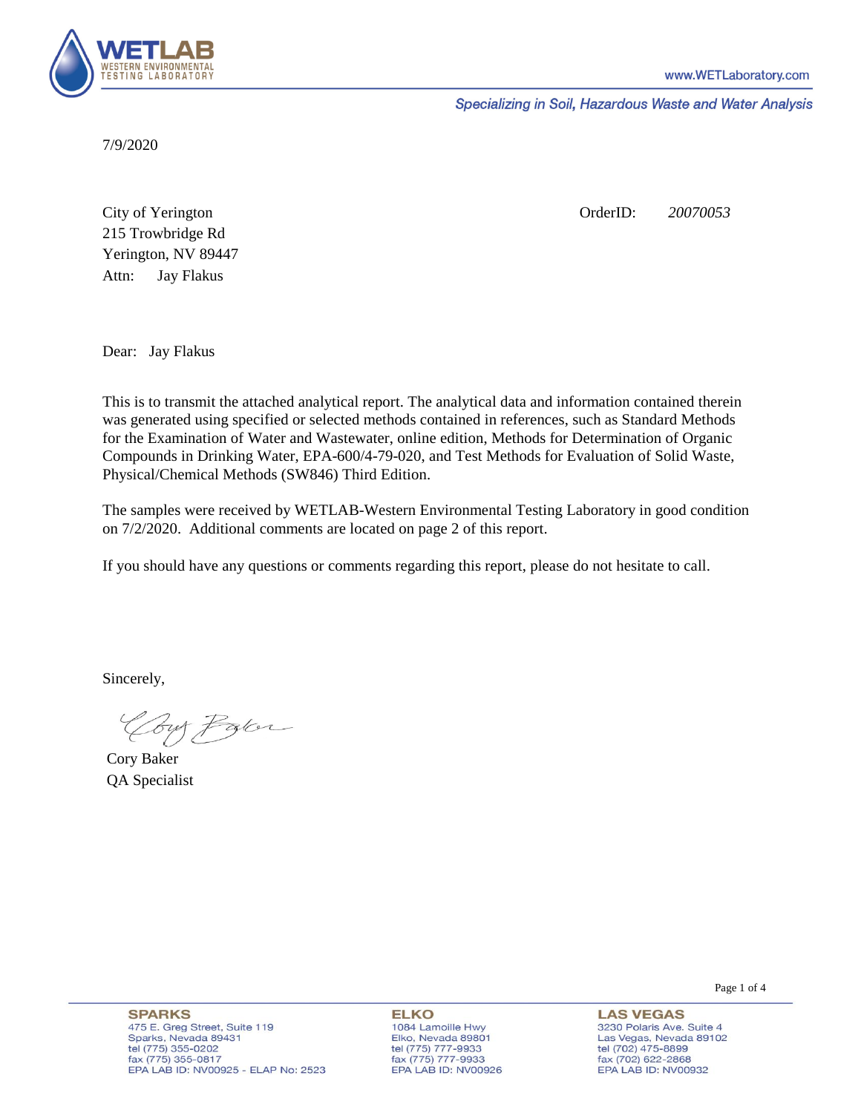

Specializing in Soil, Hazardous Waste and Water Analysis

7/9/2020

Attn: City of Yerington 215 Trowbridge Rd Jay Flakus Yerington, NV 89447 OrderID: *20070053*

Dear: Jay Flakus

This is to transmit the attached analytical report. The analytical data and information contained therein was generated using specified or selected methods contained in references, such as Standard Methods for the Examination of Water and Wastewater, online edition, Methods for Determination of Organic Compounds in Drinking Water, EPA-600/4-79-020, and Test Methods for Evaluation of Solid Waste, Physical/Chemical Methods (SW846) Third Edition.

The samples were received by WETLAB-Western Environmental Testing Laboratory in good condition on 7/2/2020. Additional comments are located on page 2 of this report.

If you should have any questions or comments regarding this report, please do not hesitate to call.

Sincerely,

Coy Palor

Cory Baker QA Specialist

Page 1 of 4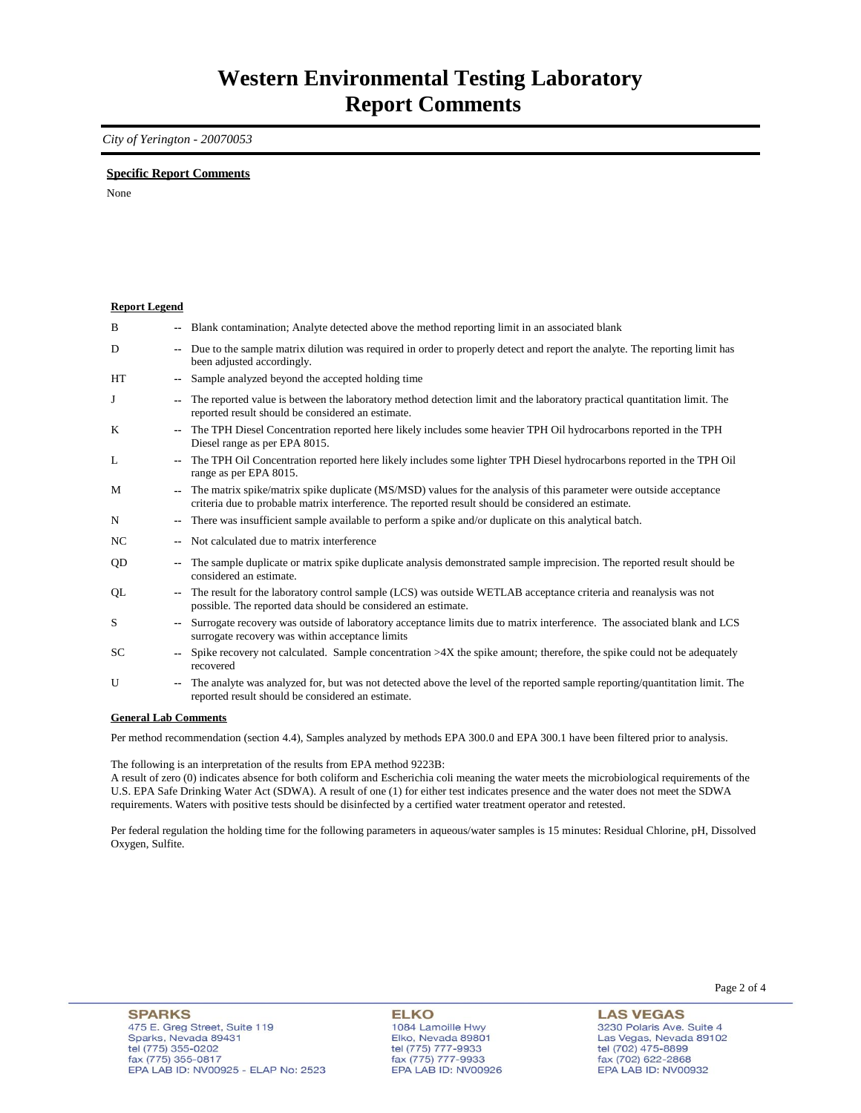### *City of Yerington - 20070053*

### **Specific Report Comments**

None

| <b>Report Legend</b> |        |                                                                                                                                                                                                                           |
|----------------------|--------|---------------------------------------------------------------------------------------------------------------------------------------------------------------------------------------------------------------------------|
| B                    |        | -- Blank contamination; Analyte detected above the method reporting limit in an associated blank                                                                                                                          |
| D                    | $\sim$ | Due to the sample matrix dilution was required in order to properly detect and report the analyte. The reporting limit has<br>been adjusted accordingly.                                                                  |
| HT                   |        | Sample analyzed beyond the accepted holding time                                                                                                                                                                          |
| J                    |        | The reported value is between the laboratory method detection limit and the laboratory practical quantitation limit. The<br>reported result should be considered an estimate.                                             |
| K                    |        | The TPH Diesel Concentration reported here likely includes some heavier TPH Oil hydrocarbons reported in the TPH<br>Diesel range as per EPA 8015.                                                                         |
| L                    |        | The TPH Oil Concentration reported here likely includes some lighter TPH Diesel hydrocarbons reported in the TPH Oil<br>range as per EPA 8015.                                                                            |
| M                    |        | The matrix spike/matrix spike duplicate (MS/MSD) values for the analysis of this parameter were outside acceptance<br>criteria due to probable matrix interference. The reported result should be considered an estimate. |
| N                    |        | There was insufficient sample available to perform a spike and/or duplicate on this analytical batch.                                                                                                                     |
| NC                   |        | Not calculated due to matrix interference                                                                                                                                                                                 |
| QD                   | ۰.     | The sample duplicate or matrix spike duplicate analysis demonstrated sample imprecision. The reported result should be<br>considered an estimate.                                                                         |
| QL                   |        | The result for the laboratory control sample (LCS) was outside WETLAB acceptance criteria and reanalysis was not<br>possible. The reported data should be considered an estimate.                                         |
| S                    |        | Surrogate recovery was outside of laboratory acceptance limits due to matrix interference. The associated blank and LCS<br>surrogate recovery was within acceptance limits                                                |
| SC                   |        | Spike recovery not calculated. Sample concentration $>4X$ the spike amount; therefore, the spike could not be adequately<br>recovered                                                                                     |
| U                    |        | The analyte was analyzed for, but was not detected above the level of the reported sample reporting/quantitation limit. The<br>reported result should be considered an estimate.                                          |
| 0.111.0.011          |        |                                                                                                                                                                                                                           |

#### **General Lab Comments**

Per method recommendation (section 4.4), Samples analyzed by methods EPA 300.0 and EPA 300.1 have been filtered prior to analysis.

The following is an interpretation of the results from EPA method 9223B:

A result of zero (0) indicates absence for both coliform and Escherichia coli meaning the water meets the microbiological requirements of the U.S. EPA Safe Drinking Water Act (SDWA). A result of one (1) for either test indicates presence and the water does not meet the SDWA requirements. Waters with positive tests should be disinfected by a certified water treatment operator and retested.

Per federal regulation the holding time for the following parameters in aqueous/water samples is 15 minutes: Residual Chlorine, pH, Dissolved Oxygen, Sulfite.

**ELKO** 1084 Lamoille Hwy Elko, Nevada 89801 tel (775) 777-9933<br>fax (775) 777-9933 EPA LAB ID: NV00926 Page 2 of 4

**LAS VEGAS** 3230 Polaris Ave. Suite 4 Las Vegas, Nevada 89102 tel (702) 475-8899<br>fax (702) 622-2868 EPA LAB ID: NV00932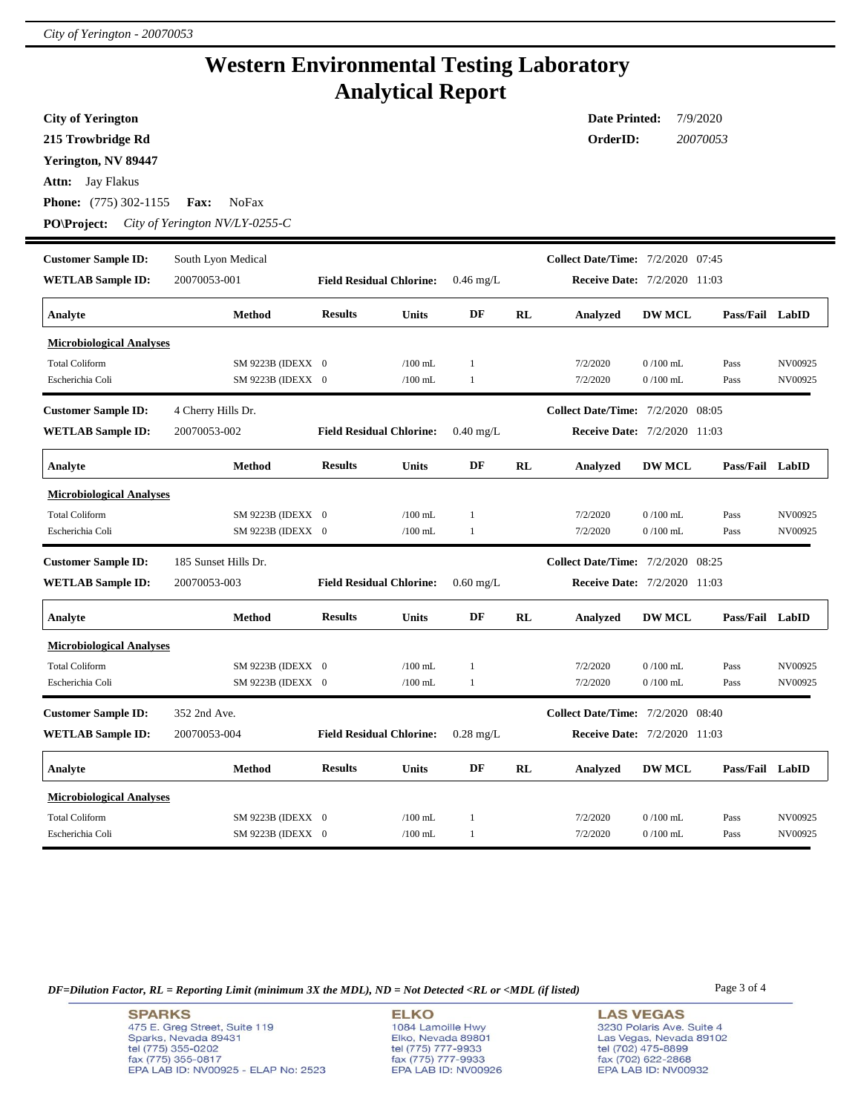# **Western Environmental Testing Laboratory Analytical Report**

| <b>City of Yerington</b>        | <b>Date Printed:</b><br>7/9/2020 |                                 |           |              |           |                                          |                                     |                 |         |
|---------------------------------|----------------------------------|---------------------------------|-----------|--------------|-----------|------------------------------------------|-------------------------------------|-----------------|---------|
| 215 Trowbridge Rd               | OrderID:<br>20070053             |                                 |           |              |           |                                          |                                     |                 |         |
| Yerington, NV 89447             |                                  |                                 |           |              |           |                                          |                                     |                 |         |
| <b>Attn:</b> Jay Flakus         |                                  |                                 |           |              |           |                                          |                                     |                 |         |
| <b>Phone:</b> (775) 302-1155    | <b>NoFax</b><br>Fax:             |                                 |           |              |           |                                          |                                     |                 |         |
|                                 |                                  |                                 |           |              |           |                                          |                                     |                 |         |
| <b>PO\Project:</b>              | City of Yerington NV/LY-0255-C   |                                 |           |              |           |                                          |                                     |                 |         |
| <b>Customer Sample ID:</b>      | South Lyon Medical               |                                 |           |              |           | <b>Collect Date/Time:</b> 7/2/2020 07:45 |                                     |                 |         |
| <b>WETLAB Sample ID:</b>        | 20070053-001                     | <b>Field Residual Chlorine:</b> |           | $0.46$ mg/L  |           |                                          | <b>Receive Date: 7/2/2020 11:03</b> |                 |         |
| Analyte                         | Method                           | <b>Results</b>                  | Units     | DF           | RL        | Analyzed                                 | <b>DW MCL</b>                       | Pass/Fail LabID |         |
| <b>Microbiological Analyses</b> |                                  |                                 |           |              |           |                                          |                                     |                 |         |
| <b>Total Coliform</b>           | SM 9223B (IDEXX 0                |                                 | $/100$ mL | 1            |           | 7/2/2020                                 | $0/100$ mL                          | Pass            | NV00925 |
| Escherichia Coli                | SM 9223B (IDEXX 0                |                                 | $/100$ mL | $\mathbf{1}$ |           | 7/2/2020                                 | $0/100$ mL                          | Pass            | NV00925 |
|                                 |                                  |                                 |           |              |           |                                          |                                     |                 |         |
| <b>Customer Sample ID:</b>      | 4 Cherry Hills Dr.               |                                 |           |              |           | Collect Date/Time: 7/2/2020 08:05        |                                     |                 |         |
| <b>WETLAB Sample ID:</b>        | 20070053-002                     | <b>Field Residual Chlorine:</b> |           | $0.40$ mg/L  |           |                                          | Receive Date: 7/2/2020 11:03        |                 |         |
| Analyte                         | <b>Method</b>                    | <b>Results</b>                  | Units     | DF           | <b>RL</b> | Analyzed                                 | <b>DW MCL</b>                       | Pass/Fail LabID |         |
| <b>Microbiological Analyses</b> |                                  |                                 |           |              |           |                                          |                                     |                 |         |
| <b>Total Coliform</b>           | SM 9223B (IDEXX 0                |                                 | $/100$ mL | $\mathbf{1}$ |           | 7/2/2020                                 | $0/100$ mL                          | Pass            | NV00925 |
| Escherichia Coli                | SM 9223B (IDEXX 0                |                                 | $/100$ mL | $\mathbf{1}$ |           | 7/2/2020                                 | $0/100$ mL                          | Pass            | NV00925 |
| <b>Customer Sample ID:</b>      | 185 Sunset Hills Dr.             |                                 |           |              |           | <b>Collect Date/Time:</b> 7/2/2020 08:25 |                                     |                 |         |
| <b>WETLAB Sample ID:</b>        | 20070053-003                     | <b>Field Residual Chlorine:</b> |           | $0.60$ mg/L  |           |                                          | <b>Receive Date: 7/2/2020 11:03</b> |                 |         |
| Analyte                         | <b>Method</b>                    | <b>Results</b>                  | Units     | DF           | RL        | <b>Analyzed</b>                          | <b>DW MCL</b>                       | Pass/Fail LabID |         |
| <b>Microbiological Analyses</b> |                                  |                                 |           |              |           |                                          |                                     |                 |         |
| <b>Total Coliform</b>           | SM 9223B (IDEXX 0                |                                 | $/100$ mL | $\mathbf{1}$ |           | 7/2/2020                                 | $0/100$ mL                          | Pass            | NV00925 |
| Escherichia Coli                | SM 9223B (IDEXX 0                |                                 | $/100$ mL | $\mathbf{1}$ |           | 7/2/2020                                 | $0/100$ mL                          | Pass            | NV00925 |
| <b>Customer Sample ID:</b>      | 352 2nd Ave.                     |                                 |           |              |           | <b>Collect Date/Time:</b> 7/2/2020 08:40 |                                     |                 |         |
| <b>WETLAB Sample ID:</b>        | 20070053-004                     | <b>Field Residual Chlorine:</b> |           | $0.28$ mg/L  |           |                                          | <b>Receive Date: 7/2/2020 11:03</b> |                 |         |
| Analyte                         | Method                           | <b>Results</b>                  | Units     | DF           | RL        | <b>Analyzed</b>                          | <b>DW MCL</b>                       | Pass/Fail LabID |         |
| <b>Microbiological Analyses</b> |                                  |                                 |           |              |           |                                          |                                     |                 |         |
| <b>Total Coliform</b>           | SM 9223B (IDEXX 0                |                                 | $/100$ mL | $\mathbf{1}$ |           | 7/2/2020                                 | $0/100$ mL                          | Pass            | NV00925 |
| Escherichia Coli                | SM 9223B (IDEXX 0                |                                 | $/100$ mL | $\mathbf{1}$ |           | 7/2/2020                                 | $0/100$ mL                          | Pass            | NV00925 |

*DF=Dilution Factor, RL = Reporting Limit (minimum 3X the MDL), ND = Not Detected <RL or <MDL (if listed)* Page 3 of 4

**SPARKS** 475 E. Greg Street, Suite 119 Sparks, Nevada 89431<br>tel (775) 355-0202<br>fax (775) 355-0817 EPA LAB ID: NV00925 - ELAP No: 2523

**ELKO** 1084 Lamoille Hwy Elko, Nevada 89801<br>tel (775) 777-9933<br>fax (775) 777-9933 EPA LAB ID: NV00926 **LAS VEGAS** 3230 Polaris Ave. Suite 4 Las Vegas, Nevada 89102 tel (702) 475-8899<br>fax (702) 622-2868<br>EPA LAB ID: NV00932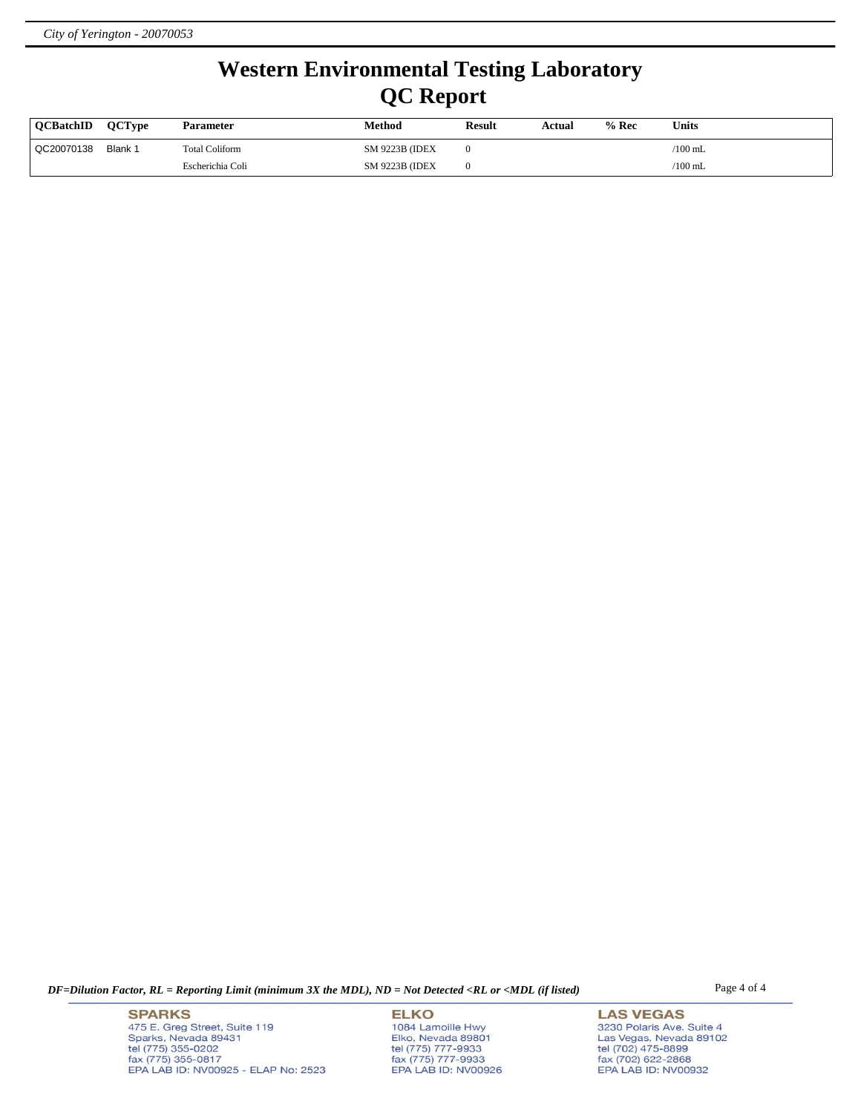# **Western Environmental Testing Laboratory QC Report**

| <b>OCBatchID</b> | <b>OCTvpe</b> | <b>Parameter</b> | Method                 | <b>Result</b> | Actual | $%$ Rec | <b>Units</b>    |
|------------------|---------------|------------------|------------------------|---------------|--------|---------|-----------------|
| QC20070138       | Blank 1       | Total Coliform   | <b>SM 9223B (IDEX)</b> |               |        |         | $\sqrt{100}$ mL |
|                  |               | Escherichia Coli | <b>SM 9223B (IDEX)</b> |               |        |         | $\sqrt{100}$ mL |

*DF=Dilution Factor, RL = Reporting Limit (minimum 3X the MDL), ND = Not Detected <RL or <MDL (if listed)* Page 4 of 4

**SPARKS** 475 E. Greg Street, Suite 119 Sparks, Nevada 89431<br>tel (775) 355-0202<br>fax (775) 355-0817 EPA LAB ID: NV00925 - ELAP No: 2523

**ELKO** 1084 Lamoille Hwy Elko, Nevada 89801<br>tel (775) 777-9933<br>fax (775) 777-9933 EPA LAB ID: NV00926

**LAS VEGAS** 3230 Polaris Ave. Suite 4 Las Vegas, Nevada 89102<br>tel (702) 475-8899<br>fax (702) 622-2868<br>EPA LAB ID: NV00932